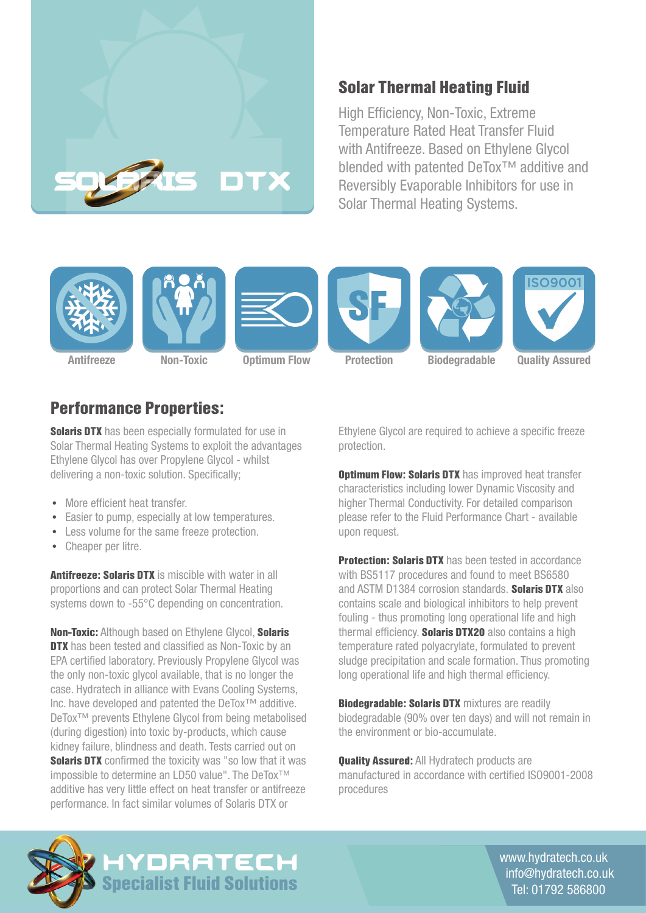

# Solar Thermal Heating Fluid

High Efficiency, Non-Toxic, Extreme Temperature Rated Heat Transfer Fluid with Antifreeze. Based on Ethylene Glycol blended with patented DeTox™ additive and Reversibly Evaporable Inhibitors for use in Solar Thermal Heating Systems.









Antifreeze Non-Toxic Optimum Flow Protection Biodegradable Quality Assured

#### Performance Properties:

**Solaris DTX** has been especially formulated for use in Solar Thermal Heating Systems to exploit the advantages Ethylene Glycol has over Propylene Glycol - whilst delivering a non-toxic solution. Specifically;

- More efficient heat transfer.
- Easier to pump, especially at low temperatures.
- Less volume for the same freeze protection.
- Cheaper per litre.

Antifreeze: Solaris DTX is miscible with water in all proportions and can protect Solar Thermal Heating systems down to -55°C depending on concentration.

Non-Toxic: Although based on Ethylene Glycol, Solaris **DTX** has been tested and classified as Non-Toxic by an EPA certified laboratory. Previously Propylene Glycol was the only non-toxic glycol available, that is no longer the case. Hydratech in alliance with Evans Cooling Systems, Inc. have developed and patented the DeTox™ additive. DeTox™ prevents Ethylene Glycol from being metabolised (during digestion) into toxic by-products, which cause kidney failure, blindness and death. Tests carried out on **Solaris DTX** confirmed the toxicity was "so low that it was impossible to determine an LD50 value". The DeTox™ additive has very little effect on heat transfer or antifreeze performance. In fact similar volumes of Solaris DTX or

Ethylene Glycol are required to achieve a specific freeze protection.

**Optimum Flow: Solaris DTX** has improved heat transfer characteristics including lower Dynamic Viscosity and higher Thermal Conductivity. For detailed comparison please refer to the Fluid Performance Chart - available upon request.

**Protection: Solaris DTX** has been tested in accordance with BS5117 procedures and found to meet BS6580 and ASTM D1384 corrosion standards. Solaris DTX also contains scale and biological inhibitors to help prevent fouling - thus promoting long operational life and high thermal efficiency. **Solaris DTX20** also contains a high temperature rated polyacrylate, formulated to prevent sludge precipitation and scale formation. Thus promoting long operational life and high thermal efficiency.

**Biodegradable: Solaris DTX** mixtures are readily biodegradable (90% over ten days) and will not remain in the environment or bio-accumulate.

**Quality Assured:** All Hydratech products are manufactured in accordance with certified ISO9001-2008 procedures



HYDRATECH Specialist Fluid Solutions HYDRATECH

www.hydratech.co.uk info@hydratech.co.uk Tel: 01792 586800 info@hydratech.co.uk  $\alpha$ ww.nyuratech.co.ur

www.hydratech.co.uk